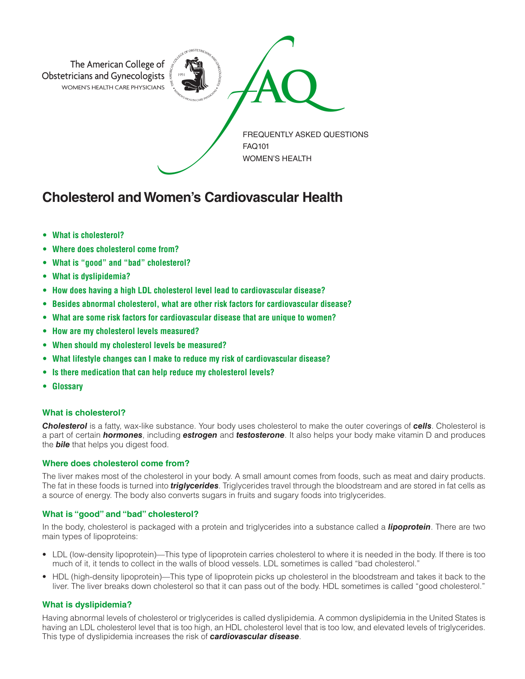

# **Cholesterol and Women's Cardiovascular Health**

- **• What is cholesterol?**
- **• Where does cholesterol come from?**
- **• What is "good" and "bad" cholesterol?**
- **• What is dyslipidemia?**
- **• How does having a high LDL cholesterol level lead to cardiovascular disease?**
- **• Besides abnormal cholesterol, what are other risk factors for cardiovascular disease?**
- **• What are some risk factors for cardiovascular disease that are unique to women?**
- **• How are my cholesterol levels measured?**
- **• When should my cholesterol levels be measured?**
- **• What lifestyle changes can I make to reduce my risk of cardiovascular disease?**
- **• Is there medication that can help reduce my cholesterol levels?**
- **• Glossary**

# **What is cholesterol?**

*Cholesterol* is a fatty, wax-like substance. Your body uses cholesterol to make the outer coverings of *cells*. Cholesterol is a part of certain *hormones*, including *estrogen* and *testosterone*. It also helps your body make vitamin D and produces the *bile* that helps you digest food.

# **Where does cholesterol come from?**

The liver makes most of the cholesterol in your body. A small amount comes from foods, such as meat and dairy products. The fat in these foods is turned into *triglycerides*. Triglycerides travel through the bloodstream and are stored in fat cells as a source of energy. The body also converts sugars in fruits and sugary foods into triglycerides.

# **What is "good" and "bad" cholesterol?**

In the body, cholesterol is packaged with a protein and triglycerides into a substance called a *lipoprotein*. There are two main types of lipoproteins:

- LDL (low-density lipoprotein)—This type of lipoprotein carries cholesterol to where it is needed in the body. If there is too much of it, it tends to collect in the walls of blood vessels. LDL sometimes is called "bad cholesterol."
- HDL (high-density lipoprotein)—This type of lipoprotein picks up cholesterol in the bloodstream and takes it back to the liver. The liver breaks down cholesterol so that it can pass out of the body. HDL sometimes is called "good cholesterol."

# **What is dyslipidemia?**

Having abnormal levels of cholesterol or triglycerides is called dyslipidemia. A common dyslipidemia in the United States is having an LDL cholesterol level that is too high, an HDL cholesterol level that is too low, and elevated levels of triglycerides. This type of dyslipidemia increases the risk of *cardiovascular disease*.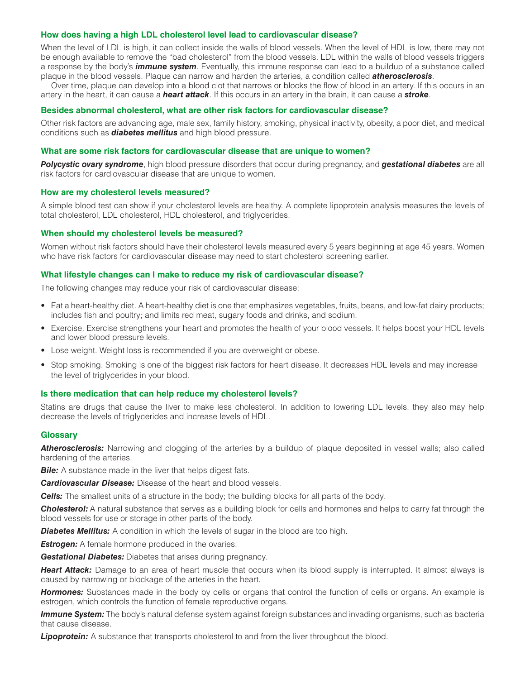#### **How does having a high LDL cholesterol level lead to cardiovascular disease?**

When the level of LDL is high, it can collect inside the walls of blood vessels. When the level of HDL is low, there may not be enough available to remove the "bad cholesterol" from the blood vessels. LDL within the walls of blood vessels triggers a response by the body's *immune system*. Eventually, this immune response can lead to a buildup of a substance called plaque in the blood vessels. Plaque can narrow and harden the arteries, a condition called *atherosclerosis*.

Over time, plaque can develop into a blood clot that narrows or blocks the flow of blood in an artery. If this occurs in an artery in the heart, it can cause a *heart attack*. If this occurs in an artery in the brain, it can cause a *stroke*.

#### **Besides abnormal cholesterol, what are other risk factors for cardiovascular disease?**

Other risk factors are advancing age, male sex, family history, smoking, physical inactivity, obesity, a poor diet, and medical conditions such as *diabetes mellitus* and high blood pressure.

#### **What are some risk factors for cardiovascular disease that are unique to women?**

*Polycystic ovary syndrome*, high blood pressure disorders that occur during pregnancy, and *gestational diabetes* are all risk factors for cardiovascular disease that are unique to women.

#### **How are my cholesterol levels measured?**

A simple blood test can show if your cholesterol levels are healthy. A complete lipoprotein analysis measures the levels of total cholesterol, LDL cholesterol, HDL cholesterol, and triglycerides.

#### **When should my cholesterol levels be measured?**

Women without risk factors should have their cholesterol levels measured every 5 years beginning at age 45 years. Women who have risk factors for cardiovascular disease may need to start cholesterol screening earlier.

#### **What lifestyle changes can I make to reduce my risk of cardiovascular disease?**

The following changes may reduce your risk of cardiovascular disease:

- Eat a heart-healthy diet. A heart-healthy diet is one that emphasizes vegetables, fruits, beans, and low-fat dairy products; includes fish and poultry; and limits red meat, sugary foods and drinks, and sodium.
- Exercise. Exercise strengthens your heart and promotes the health of your blood vessels. It helps boost your HDL levels and lower blood pressure levels.
- Lose weight. Weight loss is recommended if you are overweight or obese.
- Stop smoking. Smoking is one of the biggest risk factors for heart disease. It decreases HDL levels and may increase the level of triglycerides in your blood.

#### **Is there medication that can help reduce my cholesterol levels?**

Statins are drugs that cause the liver to make less cholesterol. In addition to lowering LDL levels, they also may help decrease the levels of triglycerides and increase levels of HDL.

#### **Glossary**

*Atherosclerosis:* Narrowing and clogging of the arteries by a buildup of plaque deposited in vessel walls; also called hardening of the arteries.

**Bile:** A substance made in the liver that helps digest fats.

*Cardiovascular Disease:* Disease of the heart and blood vessels.

*Cells:* The smallest units of a structure in the body; the building blocks for all parts of the body.

**Cholesterol:** A natural substance that serves as a building block for cells and hormones and helps to carry fat through the blood vessels for use or storage in other parts of the body.

**Diabetes Mellitus:** A condition in which the levels of sugar in the blood are too high.

**Estrogen:** A female hormone produced in the ovaries.

*Gestational Diabetes:* Diabetes that arises during pregnancy.

**Heart Attack:** Damage to an area of heart muscle that occurs when its blood supply is interrupted. It almost always is caused by narrowing or blockage of the arteries in the heart.

*Hormones:* Substances made in the body by cells or organs that control the function of cells or organs. An example is estrogen, which controls the function of female reproductive organs.

*Immune System:* The body's natural defense system against foreign substances and invading organisms, such as bacteria that cause disease.

**Lipoprotein:** A substance that transports cholesterol to and from the liver throughout the blood.